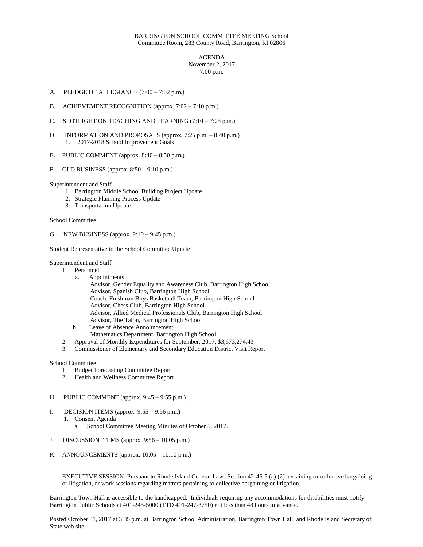## BARRINGTON SCHOOL COMMITTEE MEETING School Committee Room, 283 County Road, Barrington, RI 02806

AGENDA November 2, 2017 7:00 p.m.

- A. PLEDGE OF ALLEGIANCE (7:00 7:02 p.m.)
- B. ACHIEVEMENT RECOGNITION (approx. 7:02 7:10 p.m.)
- C. SPOTLIGHT ON TEACHING AND LEARNING (7:10 7:25 p.m.)
- D. INFORMATION AND PROPOSALS (approx. 7:25 p.m. 8:40 p.m.) 1. 2017-2018 School Improvement Goals
- E. PUBLIC COMMENT (approx. 8:40 8:50 p.m.)
- F. OLD BUSINESS (approx.  $8:50 9:10$  p.m.)

Superintendent and Staff

- 1. Barrington Middle School Building Project Update
- 2. Strategic Planning Process Update
- 3. Transportation Update

### School Committee

G. NEW BUSINESS (approx. 9:10 – 9:45 p.m.)

### Student Representative to the School Committee Update

Superintendent and Staff

- 1. Personnel
	- a. Appointments
	- Advisor, Gender Equality and Awareness Club, Barrington High School Advisor, Spanish Club, Barrington High School Coach, Freshman Boys Basketball Team, Barrington High School Advisor, Chess Club, Barrington High School Advisor, Allied Medical Professionals Club, Barrington High School Advisor, The Talon, Barrington High School b. Leave of Absence Announcement
	-
	- Mathematics Department, Barrington High School
- 2. Approval of Monthly Expenditures for September, 2017, \$3,673,274.43
- 3. Commissioner of Elementary and Secondary Education District Visit Report

#### School Committee

- 1. Budget Forecasting Committee Report
- 2. Health and Wellness Committee Report

#### H. PUBLIC COMMENT (approx. 9:45 – 9:55 p.m.)

- I. DECISION ITEMS (approx.  $9:55 9:56$  p.m.)
	- 1. Consent Agenda
		- a. School Committee Meeting Minutes of October 5, 2017.
- J. DISCUSSION ITEMS (approx. 9:56 10:05 p.m.)
- K. ANNOUNCEMENTS (approx.  $10:05 10:10$  p.m.)

EXECUTIVE SESSION: Pursuant to Rhode Island General Laws Section 42-46-5 (a) (2) pertaining to collective bargaining or litigation, or work sessions regarding matters pertaining to collective bargaining or litigation.

Barrington Town Hall is accessible to the handicapped. Individuals requiring any accommodations for disabilities must notify Barrington Public Schools at 401-245-5000 (TTD 401-247-3750) not less than 48 hours in advance.

Posted October 31, 2017 at 3:35 p.m. at Barrington School Administration, Barrington Town Hall, and Rhode Island Secretary of State web site.